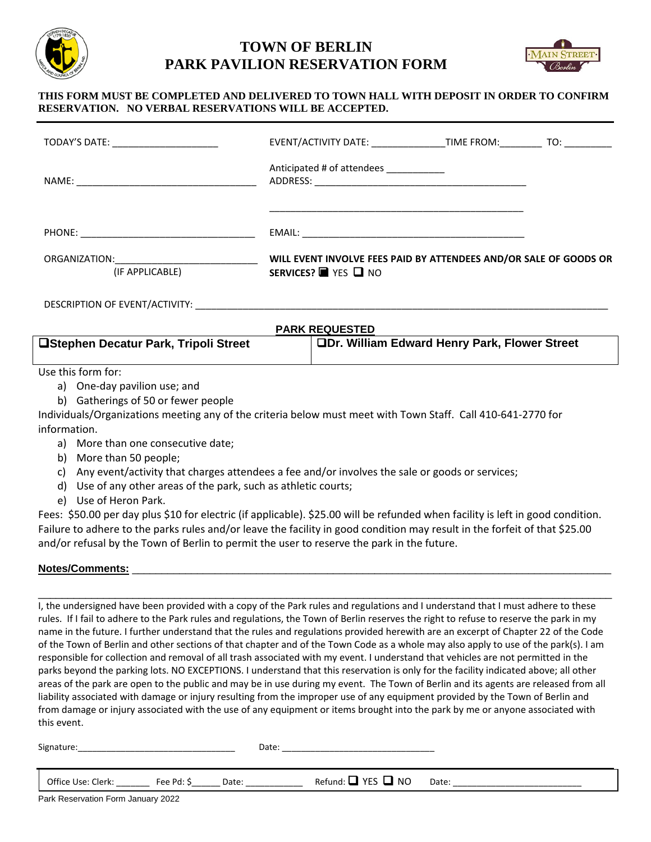

## **TOWN OF BERLIN PARK PAVILION RESERVATION FORM**



## **THIS FORM MUST BE COMPLETED AND DELIVERED TO TOWN HALL WITH DEPOSIT IN ORDER TO CONFIRM RESERVATION. NO VERBAL RESERVATIONS WILL BE ACCEPTED.**

| TODAY'S DATE: <u>___________________</u>                                                                                                                                                                                                         | EVENT/ACTIVITY DATE: _______________________________TIME FROM: __________________                       |  |
|--------------------------------------------------------------------------------------------------------------------------------------------------------------------------------------------------------------------------------------------------|---------------------------------------------------------------------------------------------------------|--|
|                                                                                                                                                                                                                                                  | Anticipated # of attendees ___________                                                                  |  |
|                                                                                                                                                                                                                                                  |                                                                                                         |  |
| ORGANIZATION: The contract of the contract of the contract of the contract of the contract of the contract of the contract of the contract of the contract of the contract of the contract of the contract of the contract of<br>(IF APPLICABLE) | WILL EVENT INVOLVE FEES PAID BY ATTENDEES AND/OR SALE OF GOODS OR<br>SERVICES? <b>T</b> YES <b>D</b> NO |  |
|                                                                                                                                                                                                                                                  |                                                                                                         |  |

| <b>PARK REQUESTED</b>                        |                                               |  |  |
|----------------------------------------------|-----------------------------------------------|--|--|
| <b>OStephen Decatur Park, Tripoli Street</b> | □Dr. William Edward Henry Park, Flower Street |  |  |
|                                              |                                               |  |  |

Use this form for:

- a) One-day pavilion use; and
- b) Gatherings of 50 or fewer people

Individuals/Organizations meeting any of the criteria below must meet with Town Staff. Call 410-641-2770 for information.

- a) More than one consecutive date;
- b) More than 50 people;
- c) Any event/activity that charges attendees a fee and/or involves the sale or goods or services;
- d) Use of any other areas of the park, such as athletic courts;
- e) Use of Heron Park.

Fees: \$50.00 per day plus \$10 for electric (if applicable). \$25.00 will be refunded when facility is left in good condition. Failure to adhere to the parks rules and/or leave the facility in good condition may result in the forfeit of that \$25.00 and/or refusal by the Town of Berlin to permit the user to reserve the park in the future.

## Notes/Comments:

 $\Box$ I, the undersigned have been provided with a copy of the Park rules and regulations and I understand that I must adhere to these rules. If I fail to adhere to the Park rules and regulations, the Town of Berlin reserves the right to refuse to reserve the park in my name in the future. I further understand that the rules and regulations provided herewith are an excerpt of Chapter 22 of the Code of the Town of Berlin and other sections of that chapter and of the Town Code as a whole may also apply to use of the park(s). I am responsible for collection and removal of all trash associated with my event. I understand that vehicles are not permitted in the parks beyond the parking lots. NO EXCEPTIONS. I understand that this reservation is only for the facility indicated above; all other areas of the park are open to the public and may be in use during my event. The Town of Berlin and its agents are released from all liability associated with damage or injury resulting from the improper use of any equipment provided by the Town of Berlin and from damage or injury associated with the use of any equipment or items brought into the park by me or anyone associated with this event.

| Signature:<br>_________________________<br>_____ | ◝∼+<br>Ualc.<br>___________________________<br>_________ |
|--------------------------------------------------|----------------------------------------------------------|
|                                                  |                                                          |
|                                                  |                                                          |

Office Use: Clerk:  $\begin{array}{ccc} \text{Fe} & \text{Pd}: \text{$} & \text{Date}: & \text{$} & \text{Refund}: \square \text{ } \text{YES} \square \text{ } \text{NO} & \text{Date}: & \text{$} & \text{$} \end{array}$ 

Park Reservation Form January 2022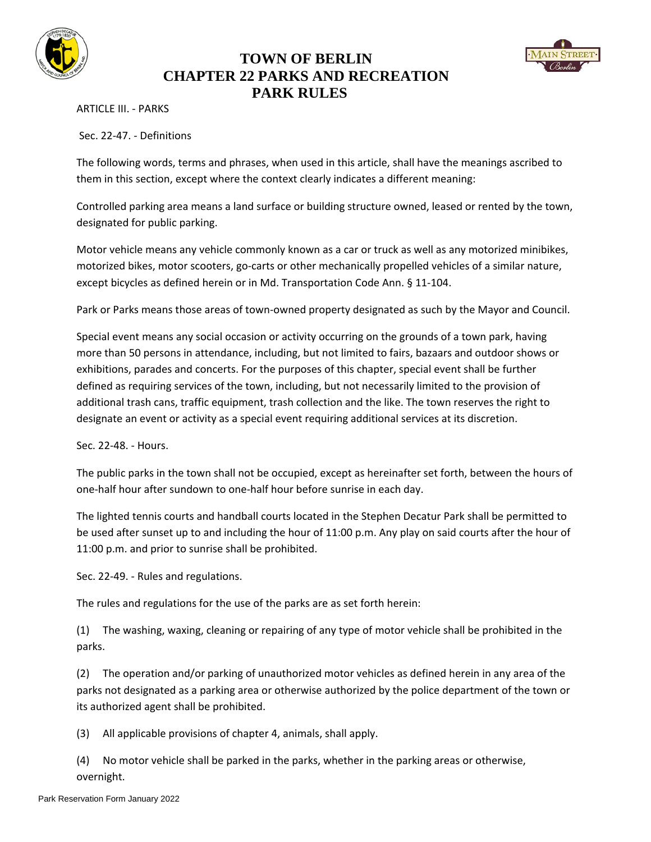

## **TOWN OF BERLIN CHAPTER 22 PARKS AND RECREATION PARK RULES**



ARTICLE III. - PARKS

Sec. 22-47. - Definitions

The following words, terms and phrases, when used in this article, shall have the meanings ascribed to them in this section, except where the context clearly indicates a different meaning:

Controlled parking area means a land surface or building structure owned, leased or rented by the town, designated for public parking.

Motor vehicle means any vehicle commonly known as a car or truck as well as any motorized minibikes, motorized bikes, motor scooters, go-carts or other mechanically propelled vehicles of a similar nature, except bicycles as defined herein or in Md. Transportation Code Ann. § 11-104.

Park or Parks means those areas of town-owned property designated as such by the Mayor and Council.

Special event means any social occasion or activity occurring on the grounds of a town park, having more than 50 persons in attendance, including, but not limited to fairs, bazaars and outdoor shows or exhibitions, parades and concerts. For the purposes of this chapter, special event shall be further defined as requiring services of the town, including, but not necessarily limited to the provision of additional trash cans, traffic equipment, trash collection and the like. The town reserves the right to designate an event or activity as a special event requiring additional services at its discretion.

Sec. 22-48. - Hours.

The public parks in the town shall not be occupied, except as hereinafter set forth, between the hours of one-half hour after sundown to one-half hour before sunrise in each day.

The lighted tennis courts and handball courts located in the Stephen Decatur Park shall be permitted to be used after sunset up to and including the hour of 11:00 p.m. Any play on said courts after the hour of 11:00 p.m. and prior to sunrise shall be prohibited.

Sec. 22-49. - Rules and regulations.

The rules and regulations for the use of the parks are as set forth herein:

(1) The washing, waxing, cleaning or repairing of any type of motor vehicle shall be prohibited in the parks.

(2) The operation and/or parking of unauthorized motor vehicles as defined herein in any area of the parks not designated as a parking area or otherwise authorized by the police department of the town or its authorized agent shall be prohibited.

(3) All applicable provisions of chapter 4, animals, shall apply.

(4) No motor vehicle shall be parked in the parks, whether in the parking areas or otherwise, overnight.